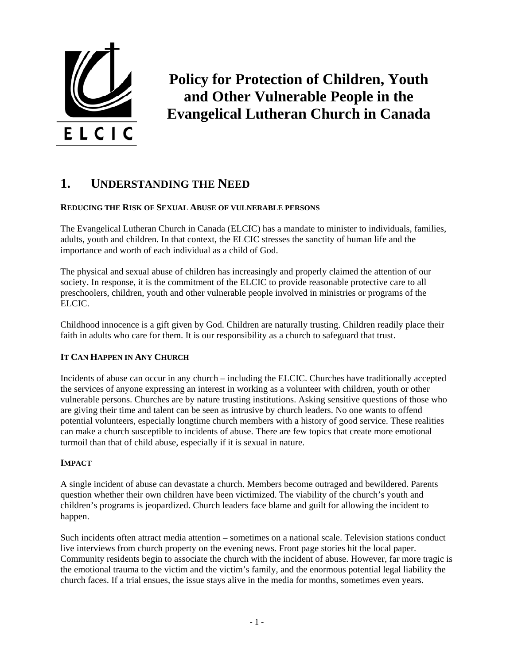

# **Policy for Protection of Children, Youth and Other Vulnerable People in the Evangelical Lutheran Church in Canada**

## **1. UNDERSTANDING THE NEED**

### **REDUCING THE RISK OF SEXUAL ABUSE OF VULNERABLE PERSONS**

The Evangelical Lutheran Church in Canada (ELCIC) has a mandate to minister to individuals, families, adults, youth and children. In that context, the ELCIC stresses the sanctity of human life and the importance and worth of each individual as a child of God.

The physical and sexual abuse of children has increasingly and properly claimed the attention of our society. In response, it is the commitment of the ELCIC to provide reasonable protective care to all preschoolers, children, youth and other vulnerable people involved in ministries or programs of the ELCIC.

Childhood innocence is a gift given by God. Children are naturally trusting. Children readily place their faith in adults who care for them. It is our responsibility as a church to safeguard that trust.

### **IT CAN HAPPEN IN ANY CHURCH**

Incidents of abuse can occur in any church – including the ELCIC. Churches have traditionally accepted the services of anyone expressing an interest in working as a volunteer with children, youth or other vulnerable persons. Churches are by nature trusting institutions. Asking sensitive questions of those who are giving their time and talent can be seen as intrusive by church leaders. No one wants to offend potential volunteers, especially longtime church members with a history of good service. These realities can make a church susceptible to incidents of abuse. There are few topics that create more emotional turmoil than that of child abuse, especially if it is sexual in nature.

### **IMPACT**

A single incident of abuse can devastate a church. Members become outraged and bewildered. Parents question whether their own children have been victimized. The viability of the church's youth and children's programs is jeopardized. Church leaders face blame and guilt for allowing the incident to happen.

Such incidents often attract media attention – sometimes on a national scale. Television stations conduct live interviews from church property on the evening news. Front page stories hit the local paper. Community residents begin to associate the church with the incident of abuse. However, far more tragic is the emotional trauma to the victim and the victim's family, and the enormous potential legal liability the church faces. If a trial ensues, the issue stays alive in the media for months, sometimes even years.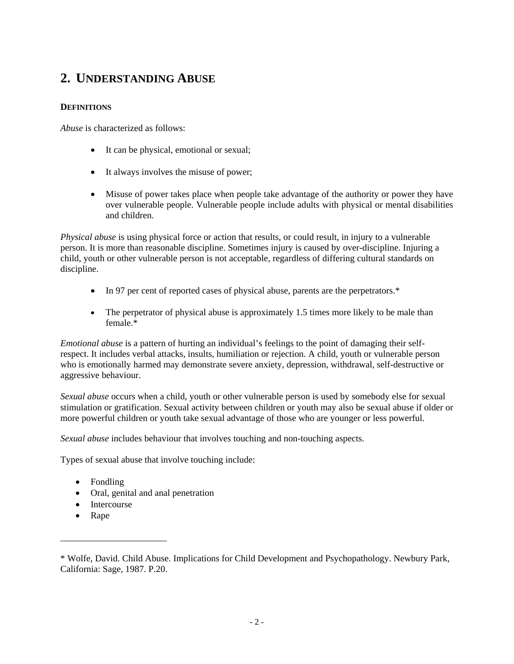## **2. UNDERSTANDING ABUSE**

### **DEFINITIONS**

*Abuse* is characterized as follows:

- It can be physical, emotional or sexual;
- It always involves the misuse of power;
- Misuse of power takes place when people take advantage of the authority or power they have over vulnerable people. Vulnerable people include adults with physical or mental disabilities and children.

*Physical abuse* is using physical force or action that results, or could result, in injury to a vulnerable person. It is more than reasonable discipline. Sometimes injury is caused by over-discipline. Injuring a child, youth or other vulnerable person is not acceptable, regardless of differing cultural standards on discipline.

- In 97 per cent of reported cases of physical abuse, parents are the perpetrators.\*
- The perpetrator of physical abuse is approximately 1.5 times more likely to be male than female.\*

*Emotional abuse* is a pattern of hurting an individual's feelings to the point of damaging their selfrespect. It includes verbal attacks, insults, humiliation or rejection. A child, youth or vulnerable person who is emotionally harmed may demonstrate severe anxiety, depression, withdrawal, self-destructive or aggressive behaviour.

*Sexual abuse* occurs when a child, youth or other vulnerable person is used by somebody else for sexual stimulation or gratification. Sexual activity between children or youth may also be sexual abuse if older or more powerful children or youth take sexual advantage of those who are younger or less powerful.

*Sexual abuse* includes behaviour that involves touching and non-touching aspects.

Types of sexual abuse that involve touching include:

- Fondling
- Oral, genital and anal penetration
- Intercourse

\_\_\_\_\_\_\_\_\_\_\_\_\_\_\_\_\_\_\_\_\_\_\_

• Rape

<sup>\*</sup> Wolfe, David. Child Abuse. Implications for Child Development and Psychopathology. Newbury Park, California: Sage, 1987. P.20.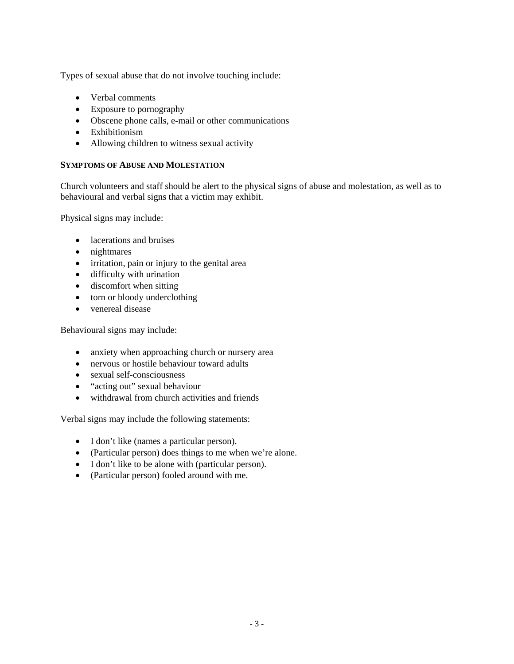Types of sexual abuse that do not involve touching include:

- Verbal comments
- Exposure to pornography
- Obscene phone calls, e-mail or other communications
- Exhibitionism
- Allowing children to witness sexual activity

### **SYMPTOMS OF ABUSE AND MOLESTATION**

Church volunteers and staff should be alert to the physical signs of abuse and molestation, as well as to behavioural and verbal signs that a victim may exhibit.

Physical signs may include:

- lacerations and bruises
- nightmares
- irritation, pain or injury to the genital area
- difficulty with urination
- discomfort when sitting
- torn or bloody underclothing
- venereal disease

Behavioural signs may include:

- anxiety when approaching church or nursery area
- nervous or hostile behaviour toward adults
- sexual self-consciousness
- "acting out" sexual behaviour
- withdrawal from church activities and friends

Verbal signs may include the following statements:

- I don't like (names a particular person).
- (Particular person) does things to me when we're alone.
- I don't like to be alone with (particular person).
- (Particular person) fooled around with me.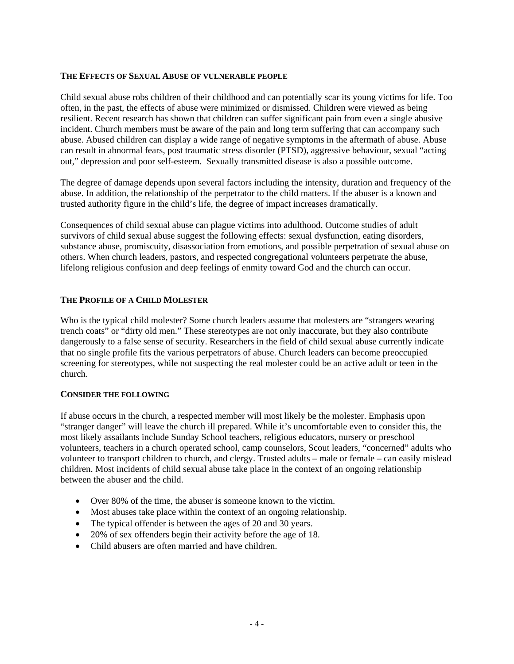### **THE EFFECTS OF SEXUAL ABUSE OF VULNERABLE PEOPLE**

Child sexual abuse robs children of their childhood and can potentially scar its young victims for life. Too often, in the past, the effects of abuse were minimized or dismissed. Children were viewed as being resilient. Recent research has shown that children can suffer significant pain from even a single abusive incident. Church members must be aware of the pain and long term suffering that can accompany such abuse. Abused children can display a wide range of negative symptoms in the aftermath of abuse. Abuse can result in abnormal fears, post traumatic stress disorder (PTSD), aggressive behaviour, sexual "acting out," depression and poor self-esteem. Sexually transmitted disease is also a possible outcome.

The degree of damage depends upon several factors including the intensity, duration and frequency of the abuse. In addition, the relationship of the perpetrator to the child matters. If the abuser is a known and trusted authority figure in the child's life, the degree of impact increases dramatically.

Consequences of child sexual abuse can plague victims into adulthood. Outcome studies of adult survivors of child sexual abuse suggest the following effects: sexual dysfunction, eating disorders, substance abuse, promiscuity, disassociation from emotions, and possible perpetration of sexual abuse on others. When church leaders, pastors, and respected congregational volunteers perpetrate the abuse, lifelong religious confusion and deep feelings of enmity toward God and the church can occur.

### **THE PROFILE OF A CHILD MOLESTER**

Who is the typical child molester? Some church leaders assume that molesters are "strangers wearing trench coats" or "dirty old men." These stereotypes are not only inaccurate, but they also contribute dangerously to a false sense of security. Researchers in the field of child sexual abuse currently indicate that no single profile fits the various perpetrators of abuse. Church leaders can become preoccupied screening for stereotypes, while not suspecting the real molester could be an active adult or teen in the church.

### **CONSIDER THE FOLLOWING**

If abuse occurs in the church, a respected member will most likely be the molester. Emphasis upon "stranger danger" will leave the church ill prepared. While it's uncomfortable even to consider this, the most likely assailants include Sunday School teachers, religious educators, nursery or preschool volunteers, teachers in a church operated school, camp counselors, Scout leaders, "concerned" adults who volunteer to transport children to church, and clergy. Trusted adults – male or female – can easily mislead children. Most incidents of child sexual abuse take place in the context of an ongoing relationship between the abuser and the child.

- Over 80% of the time, the abuser is someone known to the victim.
- Most abuses take place within the context of an ongoing relationship.
- The typical offender is between the ages of 20 and 30 years.
- 20% of sex offenders begin their activity before the age of 18.
- Child abusers are often married and have children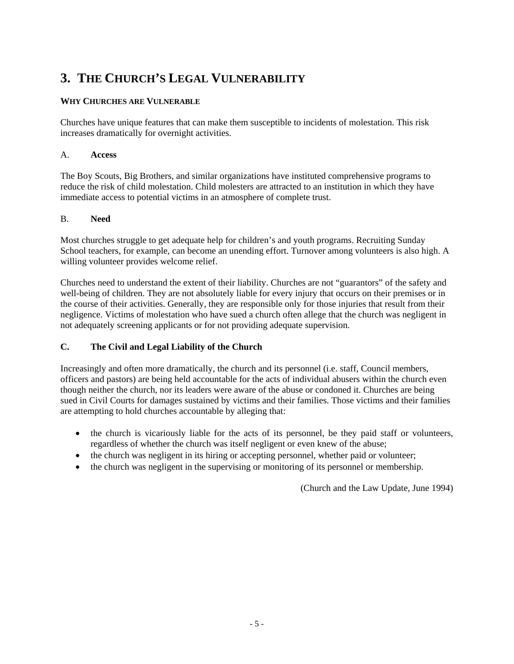# **3. THE CHURCH'S LEGAL VULNERABILITY**

### **WHY CHURCHES ARE VULNERABLE**

Churches have unique features that can make them susceptible to incidents of molestation. This risk increases dramatically for overnight activities.

### A. **Access**

The Boy Scouts, Big Brothers, and similar organizations have instituted comprehensive programs to reduce the risk of child molestation. Child molesters are attracted to an institution in which they have immediate access to potential victims in an atmosphere of complete trust.

### B. **Need**

Most churches struggle to get adequate help for children's and youth programs. Recruiting Sunday School teachers, for example, can become an unending effort. Turnover among volunteers is also high. A willing volunteer provides welcome relief.

Churches need to understand the extent of their liability. Churches are not "guarantors" of the safety and well-being of children. They are not absolutely liable for every injury that occurs on their premises or in the course of their activities. Generally, they are responsible only for those injuries that result from their negligence. Victims of molestation who have sued a church often allege that the church was negligent in not adequately screening applicants or for not providing adequate supervision.

### **C. The Civil and Legal Liability of the Church**

Increasingly and often more dramatically, the church and its personnel (i.e. staff, Council members, officers and pastors) are being held accountable for the acts of individual abusers within the church even though neither the church, nor its leaders were aware of the abuse or condoned it. Churches are being sued in Civil Courts for damages sustained by victims and their families. Those victims and their families are attempting to hold churches accountable by alleging that:

- the church is vicariously liable for the acts of its personnel, be they paid staff or volunteers, regardless of whether the church was itself negligent or even knew of the abuse;
- the church was negligent in its hiring or accepting personnel, whether paid or volunteer;
- the church was negligent in the supervising or monitoring of its personnel or membership.

(Church and the Law Update, June 1994)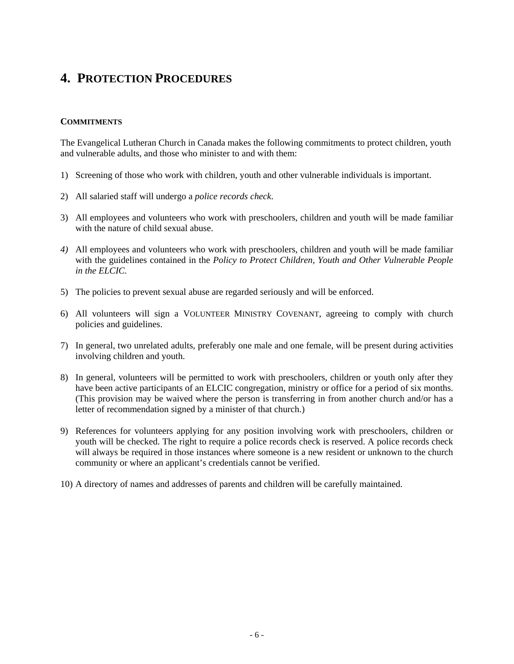## **4. PROTECTION PROCEDURES**

### **COMMITMENTS**

The Evangelical Lutheran Church in Canada makes the following commitments to protect children, youth and vulnerable adults, and those who minister to and with them:

- 1) Screening of those who work with children, youth and other vulnerable individuals is important.
- 2) All salaried staff will undergo a *police records check*.
- 3) All employees and volunteers who work with preschoolers, children and youth will be made familiar with the nature of child sexual abuse.
- *4)* All employees and volunteers who work with preschoolers, children and youth will be made familiar with the guidelines contained in the *Policy to Protect Children, Youth and Other Vulnerable People in the ELCIC.*
- 5) The policies to prevent sexual abuse are regarded seriously and will be enforced.
- 6) All volunteers will sign a VOLUNTEER MINISTRY COVENANT, agreeing to comply with church policies and guidelines.
- 7) In general, two unrelated adults, preferably one male and one female, will be present during activities involving children and youth.
- 8) In general, volunteers will be permitted to work with preschoolers, children or youth only after they have been active participants of an ELCIC congregation, ministry or office for a period of six months. (This provision may be waived where the person is transferring in from another church and/or has a letter of recommendation signed by a minister of that church.)
- 9) References for volunteers applying for any position involving work with preschoolers, children or youth will be checked. The right to require a police records check is reserved. A police records check will always be required in those instances where someone is a new resident or unknown to the church community or where an applicant's credentials cannot be verified.
- 10) A directory of names and addresses of parents and children will be carefully maintained.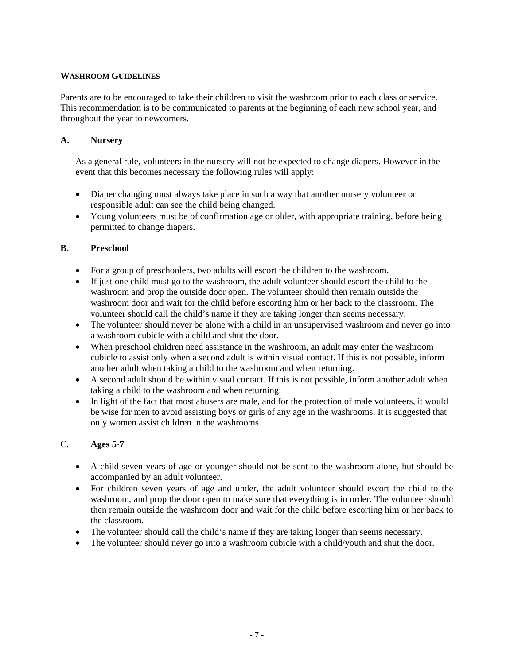### **WASHROOM GUIDELINES**

Parents are to be encouraged to take their children to visit the washroom prior to each class or service. This recommendation is to be communicated to parents at the beginning of each new school year, and throughout the year to newcomers.

### **A. Nursery**

As a general rule, volunteers in the nursery will not be expected to change diapers. However in the event that this becomes necessary the following rules will apply:

- Diaper changing must always take place in such a way that another nursery volunteer or responsible adult can see the child being changed.
- Young volunteers must be of confirmation age or older, with appropriate training, before being permitted to change diapers.

### **B. Preschool**

- For a group of preschoolers, two adults will escort the children to the washroom.
- If just one child must go to the washroom, the adult volunteer should escort the child to the washroom and prop the outside door open. The volunteer should then remain outside the washroom door and wait for the child before escorting him or her back to the classroom. The volunteer should call the child's name if they are taking longer than seems necessary.
- The volunteer should never be alone with a child in an unsupervised washroom and never go into a washroom cubicle with a child and shut the door.
- When preschool children need assistance in the washroom, an adult may enter the washroom cubicle to assist only when a second adult is within visual contact. If this is not possible, inform another adult when taking a child to the washroom and when returning.
- A second adult should be within visual contact. If this is not possible, inform another adult when taking a child to the washroom and when returning.
- In light of the fact that most abusers are male, and for the protection of male volunteers, it would be wise for men to avoid assisting boys or girls of any age in the washrooms. It is suggested that only women assist children in the washrooms.

### C. **Ages 5-7**

- A child seven years of age or younger should not be sent to the washroom alone, but should be accompanied by an adult volunteer.
- For children seven years of age and under, the adult volunteer should escort the child to the washroom, and prop the door open to make sure that everything is in order. The volunteer should then remain outside the washroom door and wait for the child before escorting him or her back to the classroom.
- The volunteer should call the child's name if they are taking longer than seems necessary.
- The volunteer should never go into a washroom cubicle with a child/youth and shut the door.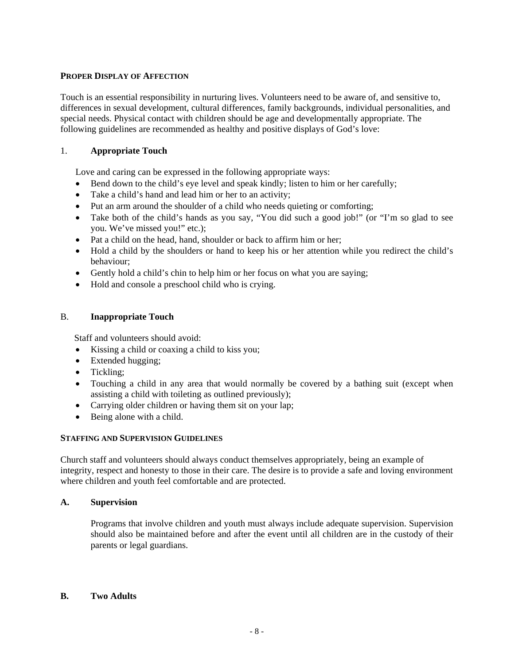### **PROPER DISPLAY OF AFFECTION**

Touch is an essential responsibility in nurturing lives. Volunteers need to be aware of, and sensitive to, differences in sexual development, cultural differences, family backgrounds, individual personalities, and special needs. Physical contact with children should be age and developmentally appropriate. The following guidelines are recommended as healthy and positive displays of God's love:

### 1. **Appropriate Touch**

Love and caring can be expressed in the following appropriate ways:

- Bend down to the child's eye level and speak kindly; listen to him or her carefully;
- Take a child's hand and lead him or her to an activity;
- Put an arm around the shoulder of a child who needs quieting or comforting;
- Take both of the child's hands as you say, "You did such a good job!" (or "I'm so glad to see you. We've missed you!" etc.);
- Pat a child on the head, hand, shoulder or back to affirm him or her;
- Hold a child by the shoulders or hand to keep his or her attention while you redirect the child's behaviour;
- Gently hold a child's chin to help him or her focus on what you are saying;
- Hold and console a preschool child who is crying.

### B. **Inappropriate Touch**

Staff and volunteers should avoid:

- Kissing a child or coaxing a child to kiss you;
- Extended hugging;
- Tickling;
- Touching a child in any area that would normally be covered by a bathing suit (except when assisting a child with toileting as outlined previously);
- Carrying older children or having them sit on your lap;
- Being alone with a child.

### **STAFFING AND SUPERVISION GUIDELINES**

Church staff and volunteers should always conduct themselves appropriately, being an example of integrity, respect and honesty to those in their care. The desire is to provide a safe and loving environment where children and youth feel comfortable and are protected.

### **A. Supervision**

Programs that involve children and youth must always include adequate supervision. Supervision should also be maintained before and after the event until all children are in the custody of their parents or legal guardians.

### **B. Two Adults**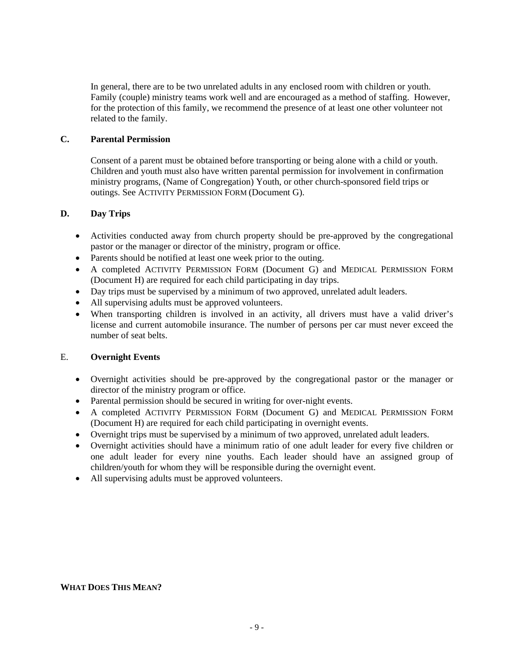In general, there are to be two unrelated adults in any enclosed room with children or youth. Family (couple) ministry teams work well and are encouraged as a method of staffing. However, for the protection of this family, we recommend the presence of at least one other volunteer not related to the family.

### **C. Parental Permission**

Consent of a parent must be obtained before transporting or being alone with a child or youth. Children and youth must also have written parental permission for involvement in confirmation ministry programs, (Name of Congregation) Youth, or other church-sponsored field trips or outings. See ACTIVITY PERMISSION FORM (Document G).

### **D. Day Trips**

- Activities conducted away from church property should be pre-approved by the congregational pastor or the manager or director of the ministry, program or office.
- Parents should be notified at least one week prior to the outing.
- A completed ACTIVITY PERMISSION FORM (Document G) and MEDICAL PERMISSION FORM (Document H) are required for each child participating in day trips.
- Day trips must be supervised by a minimum of two approved, unrelated adult leaders.
- All supervising adults must be approved volunteers.
- When transporting children is involved in an activity, all drivers must have a valid driver's license and current automobile insurance. The number of persons per car must never exceed the number of seat belts.

### E. **Overnight Events**

- Overnight activities should be pre-approved by the congregational pastor or the manager or director of the ministry program or office.
- Parental permission should be secured in writing for over-night events.
- A completed ACTIVITY PERMISSION FORM (Document G) and MEDICAL PERMISSION FORM (Document H) are required for each child participating in overnight events.
- Overnight trips must be supervised by a minimum of two approved, unrelated adult leaders.
- Overnight activities should have a minimum ratio of one adult leader for every five children or one adult leader for every nine youths. Each leader should have an assigned group of children/youth for whom they will be responsible during the overnight event.
- All supervising adults must be approved volunteers.

### **WHAT DOES THIS MEAN?**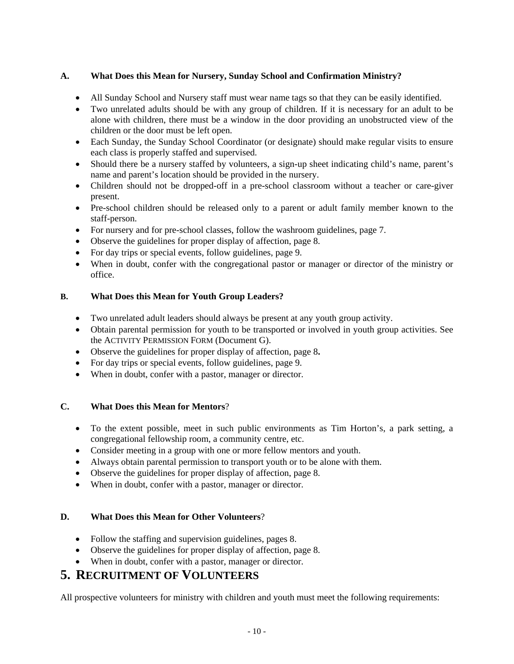### **A. What Does this Mean for Nursery, Sunday School and Confirmation Ministry?**

- All Sunday School and Nursery staff must wear name tags so that they can be easily identified.
- Two unrelated adults should be with any group of children. If it is necessary for an adult to be alone with children, there must be a window in the door providing an unobstructed view of the children or the door must be left open.
- Each Sunday, the Sunday School Coordinator (or designate) should make regular visits to ensure each class is properly staffed and supervised.
- Should there be a nursery staffed by volunteers, a sign-up sheet indicating child's name, parent's name and parent's location should be provided in the nursery.
- Children should not be dropped-off in a pre-school classroom without a teacher or care-giver present.
- Pre-school children should be released only to a parent or adult family member known to the staff-person.
- For nursery and for pre-school classes, follow the washroom guidelines, page 7.
- Observe the guidelines for proper display of affection, page 8.
- For day trips or special events, follow guidelines, page 9.
- When in doubt, confer with the congregational pastor or manager or director of the ministry or office.

### **B. What Does this Mean for Youth Group Leaders?**

- Two unrelated adult leaders should always be present at any youth group activity.
- Obtain parental permission for youth to be transported or involved in youth group activities. See the ACTIVITY PERMISSION FORM (Document G).
- Observe the guidelines for proper display of affection, page 8**.**
- For day trips or special events, follow guidelines, page 9.
- When in doubt, confer with a pastor, manager or director.

### **C. What Does this Mean for Mentors**?

- To the extent possible, meet in such public environments as Tim Horton's, a park setting, a congregational fellowship room, a community centre, etc.
- Consider meeting in a group with one or more fellow mentors and youth.
- Always obtain parental permission to transport youth or to be alone with them.
- Observe the guidelines for proper display of affection, page 8.
- When in doubt, confer with a pastor, manager or director.

### **D. What Does this Mean for Other Volunteers**?

- Follow the staffing and supervision guidelines, pages 8.
- Observe the guidelines for proper display of affection, page 8.
- When in doubt, confer with a pastor, manager or director.

### **5. RECRUITMENT OF VOLUNTEERS**

All prospective volunteers for ministry with children and youth must meet the following requirements: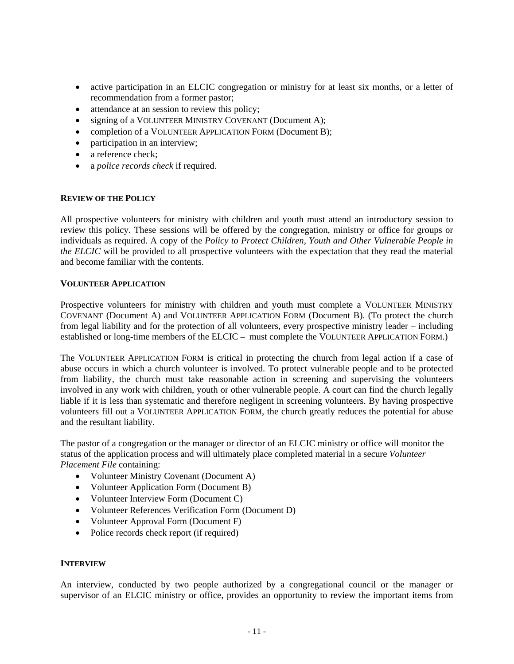- active participation in an ELCIC congregation or ministry for at least six months, or a letter of recommendation from a former pastor;
- attendance at an session to review this policy;
- signing of a VOLUNTEER MINISTRY COVENANT (Document A);
- completion of a VOLUNTEER APPLICATION FORM (Document B);
- participation in an interview;
- a reference check;
- a *police records check* if required.

### **REVIEW OF THE POLICY**

All prospective volunteers for ministry with children and youth must attend an introductory session to review this policy. These sessions will be offered by the congregation, ministry or office for groups or individuals as required. A copy of the *Policy to Protect Children, Youth and Other Vulnerable People in the ELCIC* will be provided to all prospective volunteers with the expectation that they read the material and become familiar with the contents.

### **VOLUNTEER APPLICATION**

Prospective volunteers for ministry with children and youth must complete a VOLUNTEER MINISTRY COVENANT (Document A) and VOLUNTEER APPLICATION FORM (Document B). (To protect the church from legal liability and for the protection of all volunteers, every prospective ministry leader – including established or long-time members of the ELCIC – must complete the VOLUNTEER APPLICATION FORM.)

The VOLUNTEER APPLICATION FORM is critical in protecting the church from legal action if a case of abuse occurs in which a church volunteer is involved. To protect vulnerable people and to be protected from liability, the church must take reasonable action in screening and supervising the volunteers involved in any work with children, youth or other vulnerable people. A court can find the church legally liable if it is less than systematic and therefore negligent in screening volunteers. By having prospective volunteers fill out a VOLUNTEER APPLICATION FORM, the church greatly reduces the potential for abuse and the resultant liability.

The pastor of a congregation or the manager or director of an ELCIC ministry or office will monitor the status of the application process and will ultimately place completed material in a secure *Volunteer Placement File* containing:

- Volunteer Ministry Covenant (Document A)
- Volunteer Application Form (Document B)
- Volunteer Interview Form (Document C)
- Volunteer References Verification Form (Document D)
- Volunteer Approval Form (Document F)
- Police records check report (if required)

### **INTERVIEW**

An interview, conducted by two people authorized by a congregational council or the manager or supervisor of an ELCIC ministry or office, provides an opportunity to review the important items from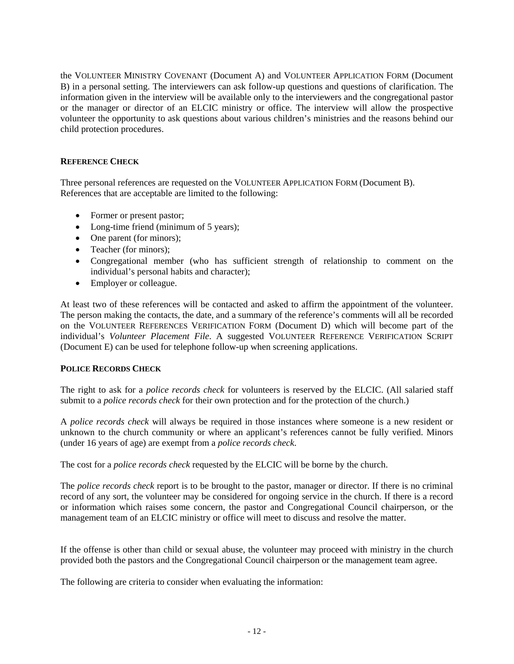the VOLUNTEER MINISTRY COVENANT (Document A) and VOLUNTEER APPLICATION FORM (Document B) in a personal setting. The interviewers can ask follow-up questions and questions of clarification. The information given in the interview will be available only to the interviewers and the congregational pastor or the manager or director of an ELCIC ministry or office. The interview will allow the prospective volunteer the opportunity to ask questions about various children's ministries and the reasons behind our child protection procedures.

### **REFERENCE CHECK**

Three personal references are requested on the VOLUNTEER APPLICATION FORM (Document B). References that are acceptable are limited to the following:

- Former or present pastor;
- Long-time friend (minimum of 5 years);
- One parent (for minors);
- Teacher (for minors);
- Congregational member (who has sufficient strength of relationship to comment on the individual's personal habits and character);
- Employer or colleague.

At least two of these references will be contacted and asked to affirm the appointment of the volunteer. The person making the contacts, the date, and a summary of the reference's comments will all be recorded on the VOLUNTEER REFERENCES VERIFICATION FORM (Document D) which will become part of the individual's *Volunteer Placement File*. A suggested VOLUNTEER REFERENCE VERIFICATION SCRIPT (Document E) can be used for telephone follow-up when screening applications.

### **POLICE RECORDS CHECK**

The right to ask for a *police records check* for volunteers is reserved by the ELCIC. (All salaried staff submit to a *police records check* for their own protection and for the protection of the church.)

A *police records check* will always be required in those instances where someone is a new resident or unknown to the church community or where an applicant's references cannot be fully verified. Minors (under 16 years of age) are exempt from a *police records check*.

The cost for a *police records check* requested by the ELCIC will be borne by the church.

The *police records check* report is to be brought to the pastor, manager or director. If there is no criminal record of any sort, the volunteer may be considered for ongoing service in the church. If there is a record or information which raises some concern, the pastor and Congregational Council chairperson, or the management team of an ELCIC ministry or office will meet to discuss and resolve the matter.

If the offense is other than child or sexual abuse, the volunteer may proceed with ministry in the church provided both the pastors and the Congregational Council chairperson or the management team agree.

The following are criteria to consider when evaluating the information: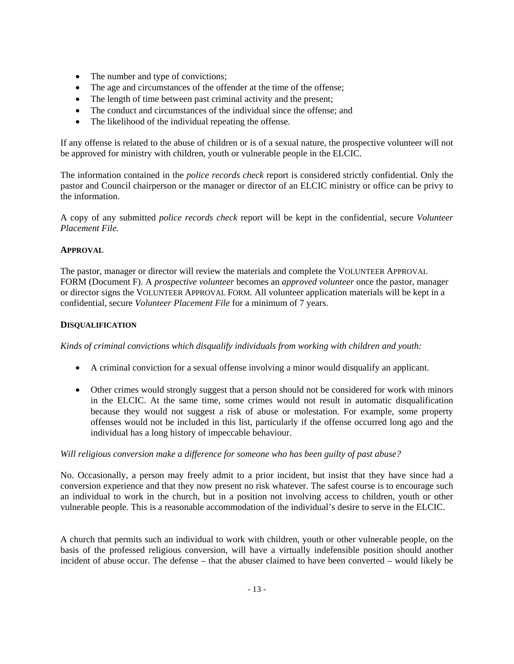- The number and type of convictions;
- The age and circumstances of the offender at the time of the offense;
- The length of time between past criminal activity and the present;
- The conduct and circumstances of the individual since the offense; and
- The likelihood of the individual repeating the offense.

If any offense is related to the abuse of children or is of a sexual nature, the prospective volunteer will not be approved for ministry with children, youth or vulnerable people in the ELCIC.

The information contained in the *police records check* report is considered strictly confidential. Only the pastor and Council chairperson or the manager or director of an ELCIC ministry or office can be privy to the information.

A copy of any submitted *police records check* report will be kept in the confidential, secure *Volunteer Placement File.*

### **APPROVAL**

The pastor, manager or director will review the materials and complete the VOLUNTEER APPROVAL FORM (Document F). A *prospective volunteer* becomes an *approved volunteer* once the pastor, manager or director signs the VOLUNTEER APPROVAL FORM. All volunteer application materials will be kept in a confidential, secure *Volunteer Placement File* for a minimum of 7 years.

### **DISQUALIFICATION**

*Kinds of criminal convictions which disqualify individuals from working with children and youth:*

- A criminal conviction for a sexual offense involving a minor would disqualify an applicant.
- Other crimes would strongly suggest that a person should not be considered for work with minors in the ELCIC. At the same time, some crimes would not result in automatic disqualification because they would not suggest a risk of abuse or molestation. For example, some property offenses would not be included in this list, particularly if the offense occurred long ago and the individual has a long history of impeccable behaviour.

### *Will religious conversion make a difference for someone who has been guilty of past abuse?*

No. Occasionally, a person may freely admit to a prior incident, but insist that they have since had a conversion experience and that they now present no risk whatever. The safest course is to encourage such an individual to work in the church, but in a position not involving access to children, youth or other vulnerable people. This is a reasonable accommodation of the individual's desire to serve in the ELCIC.

A church that permits such an individual to work with children, youth or other vulnerable people, on the basis of the professed religious conversion, will have a virtually indefensible position should another incident of abuse occur. The defense – that the abuser claimed to have been converted – would likely be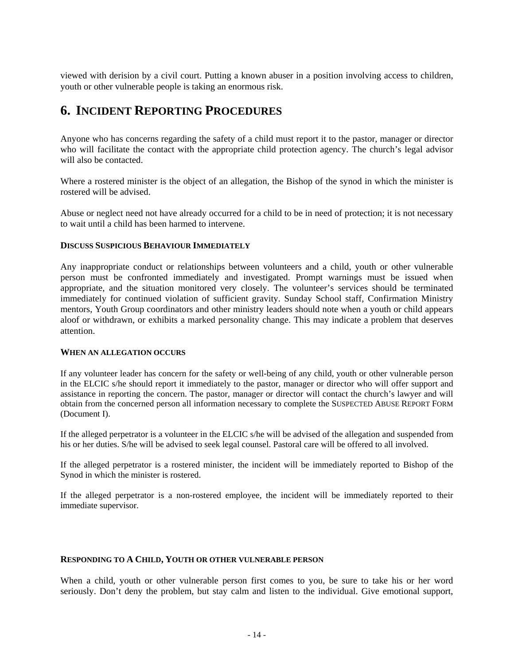viewed with derision by a civil court. Putting a known abuser in a position involving access to children, youth or other vulnerable people is taking an enormous risk.

### **6. INCIDENT REPORTING PROCEDURES**

Anyone who has concerns regarding the safety of a child must report it to the pastor, manager or director who will facilitate the contact with the appropriate child protection agency. The church's legal advisor will also be contacted.

Where a rostered minister is the object of an allegation, the Bishop of the synod in which the minister is rostered will be advised.

Abuse or neglect need not have already occurred for a child to be in need of protection; it is not necessary to wait until a child has been harmed to intervene.

### **DISCUSS SUSPICIOUS BEHAVIOUR IMMEDIATELY**

Any inappropriate conduct or relationships between volunteers and a child, youth or other vulnerable person must be confronted immediately and investigated. Prompt warnings must be issued when appropriate, and the situation monitored very closely. The volunteer's services should be terminated immediately for continued violation of sufficient gravity. Sunday School staff, Confirmation Ministry mentors, Youth Group coordinators and other ministry leaders should note when a youth or child appears aloof or withdrawn, or exhibits a marked personality change. This may indicate a problem that deserves attention.

### **WHEN AN ALLEGATION OCCURS**

If any volunteer leader has concern for the safety or well-being of any child, youth or other vulnerable person in the ELCIC s/he should report it immediately to the pastor, manager or director who will offer support and assistance in reporting the concern. The pastor, manager or director will contact the church's lawyer and will obtain from the concerned person all information necessary to complete the SUSPECTED ABUSE REPORT FORM (Document I).

If the alleged perpetrator is a volunteer in the ELCIC s/he will be advised of the allegation and suspended from his or her duties. S/he will be advised to seek legal counsel. Pastoral care will be offered to all involved.

If the alleged perpetrator is a rostered minister, the incident will be immediately reported to Bishop of the Synod in which the minister is rostered.

If the alleged perpetrator is a non-rostered employee, the incident will be immediately reported to their immediate supervisor.

### **RESPONDING TO A CHILD, YOUTH OR OTHER VULNERABLE PERSON**

When a child, youth or other vulnerable person first comes to you, be sure to take his or her word seriously. Don't deny the problem, but stay calm and listen to the individual. Give emotional support,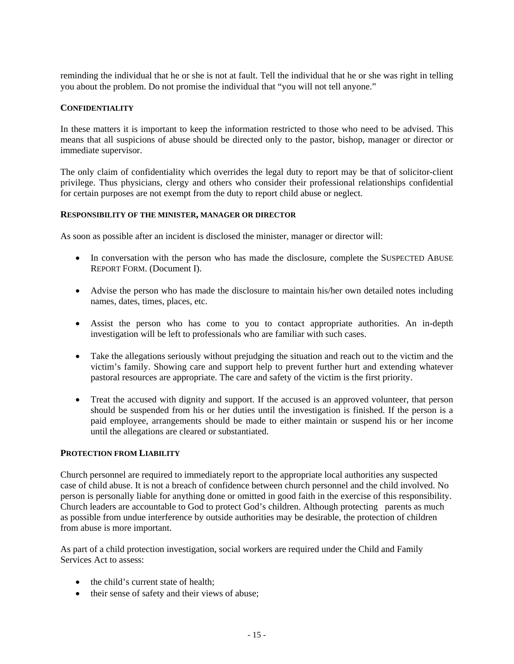reminding the individual that he or she is not at fault. Tell the individual that he or she was right in telling you about the problem. Do not promise the individual that "you will not tell anyone."

### **CONFIDENTIALITY**

In these matters it is important to keep the information restricted to those who need to be advised. This means that all suspicions of abuse should be directed only to the pastor, bishop, manager or director or immediate supervisor.

The only claim of confidentiality which overrides the legal duty to report may be that of solicitor-client privilege. Thus physicians, clergy and others who consider their professional relationships confidential for certain purposes are not exempt from the duty to report child abuse or neglect.

### **RESPONSIBILITY OF THE MINISTER, MANAGER OR DIRECTOR**

As soon as possible after an incident is disclosed the minister, manager or director will:

- In conversation with the person who has made the disclosure, complete the SUSPECTED ABUSE REPORT FORM. (Document I).
- Advise the person who has made the disclosure to maintain his/her own detailed notes including names, dates, times, places, etc.
- Assist the person who has come to you to contact appropriate authorities. An in-depth investigation will be left to professionals who are familiar with such cases.
- Take the allegations seriously without prejudging the situation and reach out to the victim and the victim's family. Showing care and support help to prevent further hurt and extending whatever pastoral resources are appropriate. The care and safety of the victim is the first priority.
- Treat the accused with dignity and support. If the accused is an approved volunteer, that person should be suspended from his or her duties until the investigation is finished. If the person is a paid employee, arrangements should be made to either maintain or suspend his or her income until the allegations are cleared or substantiated.

### **PROTECTION FROM LIABILITY**

Church personnel are required to immediately report to the appropriate local authorities any suspected case of child abuse. It is not a breach of confidence between church personnel and the child involved. No person is personally liable for anything done or omitted in good faith in the exercise of this responsibility. Church leaders are accountable to God to protect God's children. Although protecting parents as much as possible from undue interference by outside authorities may be desirable, the protection of children from abuse is more important.

As part of a child protection investigation, social workers are required under the Child and Family Services Act to assess:

- the child's current state of health;
- their sense of safety and their views of abuse;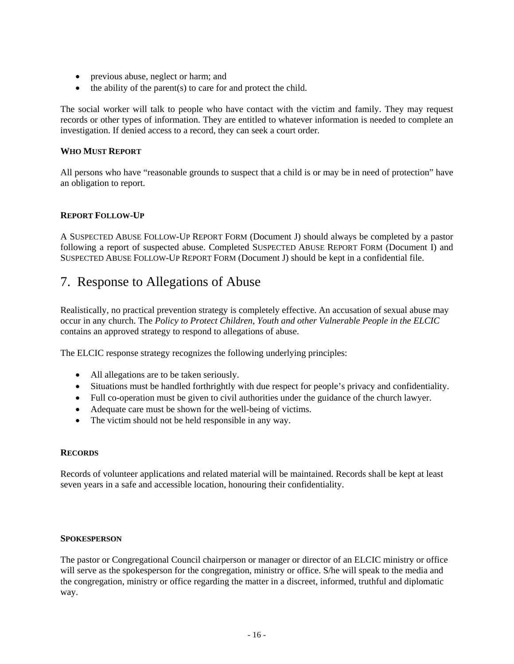- previous abuse, neglect or harm; and
- the ability of the parent(s) to care for and protect the child.

The social worker will talk to people who have contact with the victim and family. They may request records or other types of information. They are entitled to whatever information is needed to complete an investigation. If denied access to a record, they can seek a court order.

### **WHO MUST REPORT**

All persons who have "reasonable grounds to suspect that a child is or may be in need of protection" have an obligation to report.

### **REPORT FOLLOW-UP**

A SUSPECTED ABUSE FOLLOW-UP REPORT FORM (Document J) should always be completed by a pastor following a report of suspected abuse. Completed SUSPECTED ABUSE REPORT FORM (Document I) and SUSPECTED ABUSE FOLLOW-UP REPORT FORM (Document J) should be kept in a confidential file.

### 7. Response to Allegations of Abuse

Realistically, no practical prevention strategy is completely effective. An accusation of sexual abuse may occur in any church. The *Policy to Protect Children, Youth and other Vulnerable People in the ELCIC* contains an approved strategy to respond to allegations of abuse.

The ELCIC response strategy recognizes the following underlying principles:

- All allegations are to be taken seriously.
- Situations must be handled forthrightly with due respect for people's privacy and confidentiality.
- Full co-operation must be given to civil authorities under the guidance of the church lawyer.
- Adequate care must be shown for the well-being of victims.
- The victim should not be held responsible in any way.

### **RECORDS**

Records of volunteer applications and related material will be maintained. Records shall be kept at least seven years in a safe and accessible location, honouring their confidentiality.

### **SPOKESPERSON**

The pastor or Congregational Council chairperson or manager or director of an ELCIC ministry or office will serve as the spokesperson for the congregation, ministry or office. S/he will speak to the media and the congregation, ministry or office regarding the matter in a discreet, informed, truthful and diplomatic way.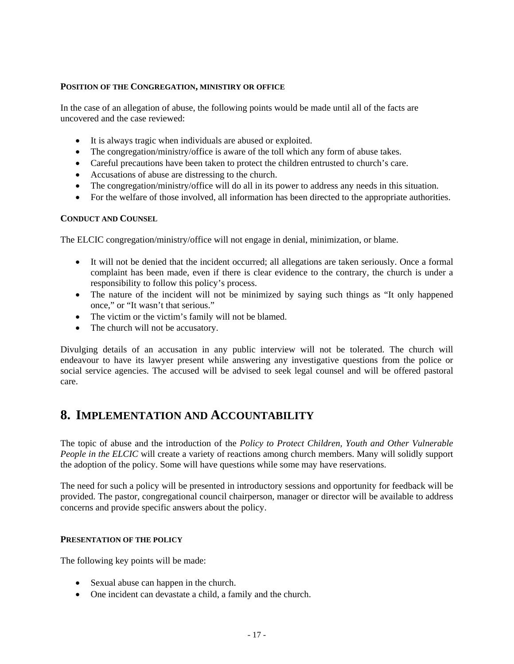### **POSITION OF THE CONGREGATION, MINISTIRY OR OFFICE**

In the case of an allegation of abuse, the following points would be made until all of the facts are uncovered and the case reviewed:

- It is always tragic when individuals are abused or exploited.
- The congregation/ministry/office is aware of the toll which any form of abuse takes.
- Careful precautions have been taken to protect the children entrusted to church's care.
- Accusations of abuse are distressing to the church.
- The congregation/ministry/office will do all in its power to address any needs in this situation.
- For the welfare of those involved, all information has been directed to the appropriate authorities.

### **CONDUCT AND COUNSEL**

The ELCIC congregation/ministry/office will not engage in denial, minimization, or blame.

- It will not be denied that the incident occurred; all allegations are taken seriously. Once a formal complaint has been made, even if there is clear evidence to the contrary, the church is under a responsibility to follow this policy's process.
- The nature of the incident will not be minimized by saying such things as "It only happened once," or "It wasn't that serious."
- The victim or the victim's family will not be blamed.
- The church will not be accusatory.

Divulging details of an accusation in any public interview will not be tolerated. The church will endeavour to have its lawyer present while answering any investigative questions from the police or social service agencies. The accused will be advised to seek legal counsel and will be offered pastoral care.

### **8. IMPLEMENTATION AND ACCOUNTABILITY**

The topic of abuse and the introduction of the *Policy to Protect Children, Youth and Other Vulnerable People in the ELCIC* will create a variety of reactions among church members. Many will solidly support the adoption of the policy. Some will have questions while some may have reservations.

The need for such a policy will be presented in introductory sessions and opportunity for feedback will be provided. The pastor, congregational council chairperson, manager or director will be available to address concerns and provide specific answers about the policy.

### **PRESENTATION OF THE POLICY**

The following key points will be made:

- Sexual abuse can happen in the church.
- One incident can devastate a child, a family and the church.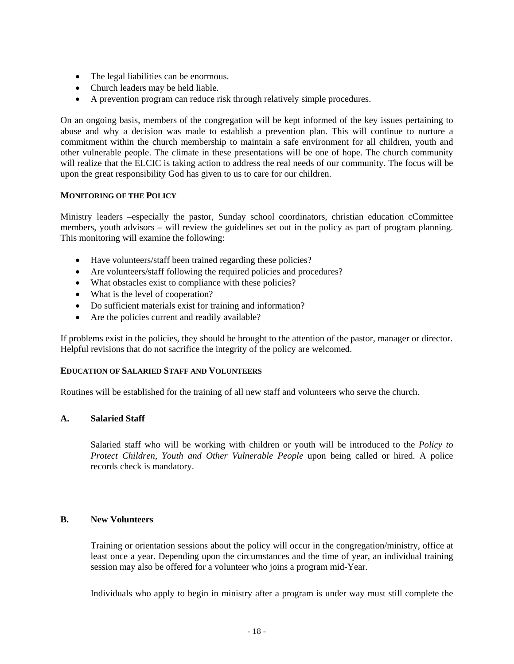- The legal liabilities can be enormous.
- Church leaders may be held liable.
- A prevention program can reduce risk through relatively simple procedures.

On an ongoing basis, members of the congregation will be kept informed of the key issues pertaining to abuse and why a decision was made to establish a prevention plan. This will continue to nurture a commitment within the church membership to maintain a safe environment for all children, youth and other vulnerable people. The climate in these presentations will be one of hope. The church community will realize that the ELCIC is taking action to address the real needs of our community. The focus will be upon the great responsibility God has given to us to care for our children.

### **MONITORING OF THE POLICY**

Ministry leaders –especially the pastor, Sunday school coordinators, christian education cCommittee members, youth advisors – will review the guidelines set out in the policy as part of program planning. This monitoring will examine the following:

- Have volunteers/staff been trained regarding these policies?
- Are volunteers/staff following the required policies and procedures?
- What obstacles exist to compliance with these policies?
- What is the level of cooperation?
- Do sufficient materials exist for training and information?
- Are the policies current and readily available?

If problems exist in the policies, they should be brought to the attention of the pastor, manager or director. Helpful revisions that do not sacrifice the integrity of the policy are welcomed.

### **EDUCATION OF SALARIED STAFF AND VOLUNTEERS**

Routines will be established for the training of all new staff and volunteers who serve the church.

### **A. Salaried Staff**

Salaried staff who will be working with children or youth will be introduced to the *Policy to Protect Children, Youth and Other Vulnerable People* upon being called or hired. A police records check is mandatory.

### **B. New Volunteers**

Training or orientation sessions about the policy will occur in the congregation/ministry, office at least once a year. Depending upon the circumstances and the time of year, an individual training session may also be offered for a volunteer who joins a program mid-Year.

Individuals who apply to begin in ministry after a program is under way must still complete the